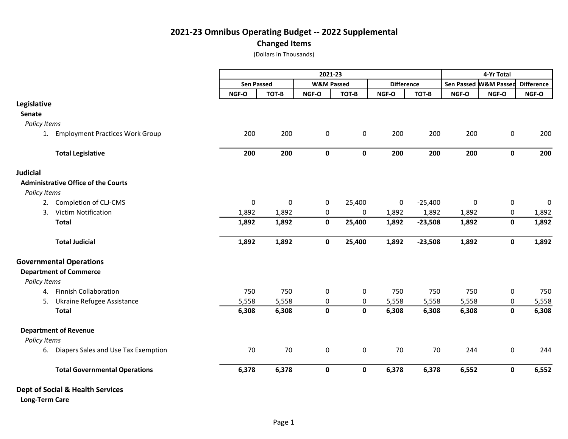## 2021-23 Omnibus Operating Budget -- 2022 Supplemental

Changed Items

(Dollars in Thousands)

|                                  |                                            | 2021-23           |           |                       |             |                   | 4-Yr Total |                       |              |                   |
|----------------------------------|--------------------------------------------|-------------------|-----------|-----------------------|-------------|-------------------|------------|-----------------------|--------------|-------------------|
|                                  |                                            | <b>Sen Passed</b> |           | <b>W&amp;M Passed</b> |             | <b>Difference</b> |            | Sen Passed M&M Passed |              | <b>Difference</b> |
|                                  |                                            | NGF-O             | TOT-B     | NGF-O                 | TOT-B       | NGF-O             | TOT-B      | NGF-O                 | NGF-O        | NGF-O             |
| Legislative                      |                                            |                   |           |                       |             |                   |            |                       |              |                   |
| Senate                           |                                            |                   |           |                       |             |                   |            |                       |              |                   |
| Policy Items                     |                                            |                   |           |                       |             |                   |            |                       |              |                   |
| 1.                               | <b>Employment Practices Work Group</b>     | 200               | 200       | 0                     | 0           | 200               | 200        | 200                   | 0            | 200               |
|                                  | <b>Total Legislative</b>                   | 200               | 200       | $\mathbf{0}$          | $\mathbf 0$ | 200               | 200        | 200                   | $\mathbf{0}$ | 200               |
| <b>Judicial</b>                  |                                            |                   |           |                       |             |                   |            |                       |              |                   |
|                                  | <b>Administrative Office of the Courts</b> |                   |           |                       |             |                   |            |                       |              |                   |
| Policy Items                     |                                            |                   |           |                       |             |                   |            |                       |              |                   |
|                                  | 2. Completion of CLJ-CMS                   | 0                 | $\pmb{0}$ | 0                     | 25,400      | 0                 | $-25,400$  | $\pmb{0}$             | 0            | 0                 |
| 3.                               | <b>Victim Notification</b>                 | 1,892             | 1,892     | 0                     | $\pmb{0}$   | 1,892             | 1,892      | 1,892                 | 0            | 1,892             |
| <b>Total</b>                     |                                            | 1,892             | 1,892     | 0                     | 25,400      | 1,892             | $-23,508$  | 1,892                 | $\pmb{0}$    | 1,892             |
|                                  | <b>Total Judicial</b>                      | 1,892             | 1,892     | $\mathbf 0$           | 25,400      | 1,892             | $-23,508$  | 1,892                 | $\mathbf 0$  | 1,892             |
| <b>Governmental Operations</b>   |                                            |                   |           |                       |             |                   |            |                       |              |                   |
| <b>Department of Commerce</b>    |                                            |                   |           |                       |             |                   |            |                       |              |                   |
| Policy Items                     |                                            |                   |           |                       |             |                   |            |                       |              |                   |
|                                  | 4. Finnish Collaboration                   | 750               | 750       | 0                     | 0           | 750               | 750        | 750                   | 0            | 750               |
| 5.                               | Ukraine Refugee Assistance                 | 5,558             | 5,558     | $\pmb{0}$             | 0           | 5,558             | 5,558      | 5,558                 | $\pmb{0}$    | 5,558             |
| <b>Total</b>                     |                                            | 6,308             | 6,308     | $\pmb{0}$             | $\pmb{0}$   | 6,308             | 6,308      | 6,308                 | $\pmb{0}$    | 6,308             |
| <b>Department of Revenue</b>     |                                            |                   |           |                       |             |                   |            |                       |              |                   |
| Policy Items                     |                                            |                   |           |                       |             |                   |            |                       |              |                   |
|                                  | 6. Diapers Sales and Use Tax Exemption     | 70                | 70        | 0                     | $\pmb{0}$   | 70                | 70         | 244                   | $\pmb{0}$    | 244               |
|                                  | <b>Total Governmental Operations</b>       | 6,378             | 6,378     | $\mathbf 0$           | $\mathbf 0$ | 6,378             | 6,378      | 6,552                 | $\pmb{0}$    | 6,552             |
| Dept of Social & Health Services |                                            |                   |           |                       |             |                   |            |                       |              |                   |
| <b>Long-Term Care</b>            |                                            |                   |           |                       |             |                   |            |                       |              |                   |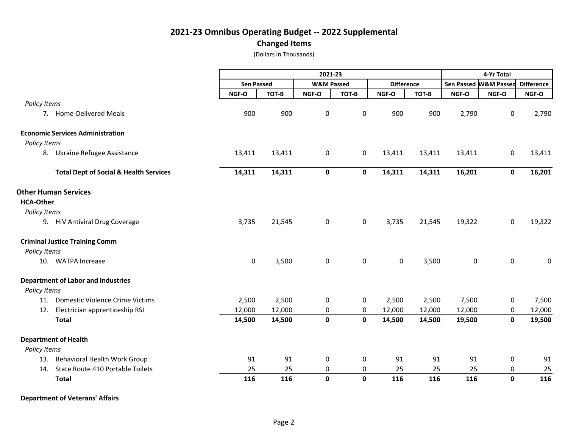## 2021-23 Omnibus Operating Budget -- 2022 Supplemental Changed Items

(Dollars in Thousands)

|                  |                                                   | 2021-23           |        |                       |                     |                     |        | 4-Yr Total          |                       |                   |  |
|------------------|---------------------------------------------------|-------------------|--------|-----------------------|---------------------|---------------------|--------|---------------------|-----------------------|-------------------|--|
|                  |                                                   | <b>Sen Passed</b> |        | <b>W&amp;M Passed</b> |                     | <b>Difference</b>   |        |                     | Sen Passed W&M Passed | <b>Difference</b> |  |
|                  |                                                   | NGF-O             | TOT-B  | NGF-O                 | TOT-B               | NGF-O               | TOT-B  | NGF-O               | NGF-O                 | NGF-O             |  |
| Policy Items     |                                                   |                   |        |                       |                     |                     |        |                     |                       |                   |  |
|                  | 7. Home-Delivered Meals                           | 900               | 900    | 0                     | 0                   | 900                 | 900    | 2,790               | 0                     | 2,790             |  |
|                  | <b>Economic Services Administration</b>           |                   |        |                       |                     |                     |        |                     |                       |                   |  |
| Policy Items     |                                                   |                   |        |                       |                     |                     |        |                     |                       |                   |  |
|                  | 8. Ukraine Refugee Assistance                     | 13,411            | 13,411 | 0                     | 0                   | 13,411              | 13,411 | 13,411              | 0                     | 13,411            |  |
|                  | <b>Total Dept of Social &amp; Health Services</b> | 14,311            | 14,311 | $\mathbf 0$           | 0                   | 14,311              | 14,311 | 16,201              | $\mathbf 0$           | 16,201            |  |
|                  | <b>Other Human Services</b>                       |                   |        |                       |                     |                     |        |                     |                       |                   |  |
| <b>HCA-Other</b> |                                                   |                   |        |                       |                     |                     |        |                     |                       |                   |  |
| Policy Items     |                                                   |                   |        |                       |                     |                     |        |                     |                       |                   |  |
|                  | 9. HIV Antiviral Drug Coverage                    | 3,735             | 21,545 | $\mathbf 0$           | 0                   | 3,735               | 21,545 | 19,322              | $\mathbf 0$           | 19,322            |  |
|                  | <b>Criminal Justice Training Comm</b>             |                   |        |                       |                     |                     |        |                     |                       |                   |  |
| Policy Items     |                                                   |                   |        |                       |                     |                     |        |                     |                       |                   |  |
|                  | 10. WATPA Increase                                | $\pmb{0}$         | 3,500  | 0                     | $\mathsf{O}\xspace$ | $\mathsf{O}\xspace$ | 3,500  | $\mathsf{O}\xspace$ | $\pmb{0}$             | $\mathbf 0$       |  |
|                  | <b>Department of Labor and Industries</b>         |                   |        |                       |                     |                     |        |                     |                       |                   |  |
| Policy Items     |                                                   |                   |        |                       |                     |                     |        |                     |                       |                   |  |
| 11.              | Domestic Violence Crime Victims                   | 2,500             | 2,500  | 0                     | 0                   | 2,500               | 2,500  | 7,500               | 0                     | 7,500             |  |
| 12.              | Electrician apprenticeship RSI                    | 12,000            | 12,000 | 0                     | 0                   | 12,000              | 12,000 | 12,000              | 0                     | 12,000            |  |
|                  | <b>Total</b>                                      | 14,500            | 14,500 | $\mathbf{0}$          | $\mathbf 0$         | 14,500              | 14,500 | 19,500              | $\mathbf 0$           | 19,500            |  |
|                  | <b>Department of Health</b>                       |                   |        |                       |                     |                     |        |                     |                       |                   |  |
| Policy Items     |                                                   |                   |        |                       |                     |                     |        |                     |                       |                   |  |
| 13.              | Behavioral Health Work Group                      | 91                | 91     | 0                     | 0                   | 91                  | 91     | 91                  | 0                     | 91                |  |
| 14.              | State Route 410 Portable Toilets                  | 25                | 25     | 0                     | 0                   | 25                  | 25     | 25                  | 0                     | 25                |  |
|                  | <b>Total</b>                                      | 116               | 116    | $\mathbf{0}$          | $\mathbf 0$         | 116                 | 116    | 116                 | $\mathbf 0$           | 116               |  |

Department of Veterans' Affairs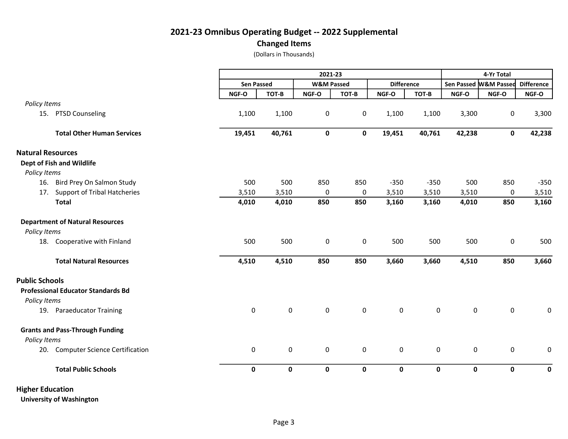## 2021-23 Omnibus Operating Budget -- 2022 Supplemental Changed Items

(Dollars in Thousands)

|                                           |                                     |             | 2021-23           |             |                       |             |                     |                     |                       | 4-Yr Total  |  |  |  |
|-------------------------------------------|-------------------------------------|-------------|-------------------|-------------|-----------------------|-------------|---------------------|---------------------|-----------------------|-------------|--|--|--|
|                                           |                                     |             | <b>Sen Passed</b> |             | <b>W&amp;M Passed</b> |             | <b>Difference</b>   |                     | Sen Passed M&M Passed |             |  |  |  |
|                                           |                                     | NGF-O       | TOT-B             | NGF-O       | TOT-B                 | NGF-O       | TOT-B               | NGF-O               | NGF-O                 | NGF-O       |  |  |  |
| Policy Items                              |                                     |             |                   |             |                       |             |                     |                     |                       |             |  |  |  |
| PTSD Counseling<br>15.                    |                                     | 1,100       | 1,100             | $\pmb{0}$   | 0                     | 1,100       | 1,100               | 3,300               | 0                     | 3,300       |  |  |  |
|                                           | <b>Total Other Human Services</b>   | 19,451      | 40,761            | 0           | $\mathbf 0$           | 19,451      | 40,761              | 42,238              | $\mathbf 0$           | 42,238      |  |  |  |
| <b>Natural Resources</b>                  |                                     |             |                   |             |                       |             |                     |                     |                       |             |  |  |  |
| Dept of Fish and Wildlife                 |                                     |             |                   |             |                       |             |                     |                     |                       |             |  |  |  |
| Policy Items                              |                                     |             |                   |             |                       |             |                     |                     |                       |             |  |  |  |
| 16.                                       | Bird Prey On Salmon Study           | 500         | 500               | 850         | 850                   | $-350$      | $-350$              | 500                 | 850                   | $-350$      |  |  |  |
| 17.                                       | <b>Support of Tribal Hatcheries</b> | 3,510       | 3,510             | 0           | 0                     | 3,510       | 3,510               | 3,510               | $\pmb{0}$             | 3,510       |  |  |  |
| <b>Total</b>                              |                                     | 4,010       | 4,010             | 850         | 850                   | 3,160       | 3,160               | 4,010               | 850                   | 3,160       |  |  |  |
| <b>Department of Natural Resources</b>    |                                     |             |                   |             |                       |             |                     |                     |                       |             |  |  |  |
| Policy Items                              |                                     |             |                   |             |                       |             |                     |                     |                       |             |  |  |  |
| 18. Cooperative with Finland              |                                     | 500         | 500               | $\pmb{0}$   | 0                     | 500         | 500                 | 500                 | $\pmb{0}$             | 500         |  |  |  |
| <b>Total Natural Resources</b>            |                                     | 4,510       | 4,510             | 850         | 850                   | 3,660       | 3,660               | 4,510               | 850                   | 3,660       |  |  |  |
| <b>Public Schools</b>                     |                                     |             |                   |             |                       |             |                     |                     |                       |             |  |  |  |
| <b>Professional Educator Standards Bd</b> |                                     |             |                   |             |                       |             |                     |                     |                       |             |  |  |  |
| Policy Items                              |                                     |             |                   |             |                       |             |                     |                     |                       |             |  |  |  |
| 19. Paraeducator Training                 |                                     | 0           | 0                 | 0           | 0                     | $\mathbf 0$ | $\pmb{0}$           | $\pmb{0}$           | $\pmb{0}$             | 0           |  |  |  |
| <b>Grants and Pass-Through Funding</b>    |                                     |             |                   |             |                       |             |                     |                     |                       |             |  |  |  |
| Policy Items                              |                                     |             |                   |             |                       |             |                     |                     |                       |             |  |  |  |
| 20. Computer Science Certification        |                                     | 0           | 0                 | 0           | $\pmb{0}$             | $\mathbf 0$ | $\mathsf{O}\xspace$ | $\mathsf{O}\xspace$ | $\pmb{0}$             | $\mathsf 0$ |  |  |  |
| <b>Total Public Schools</b>               |                                     | $\mathbf 0$ | 0                 | $\mathbf 0$ | $\mathbf 0$           | $\mathbf 0$ | 0                   | $\mathbf 0$         | $\mathbf 0$           | $\mathbf 0$ |  |  |  |
| <b>Higher Education</b>                   |                                     |             |                   |             |                       |             |                     |                     |                       |             |  |  |  |

University of Washington